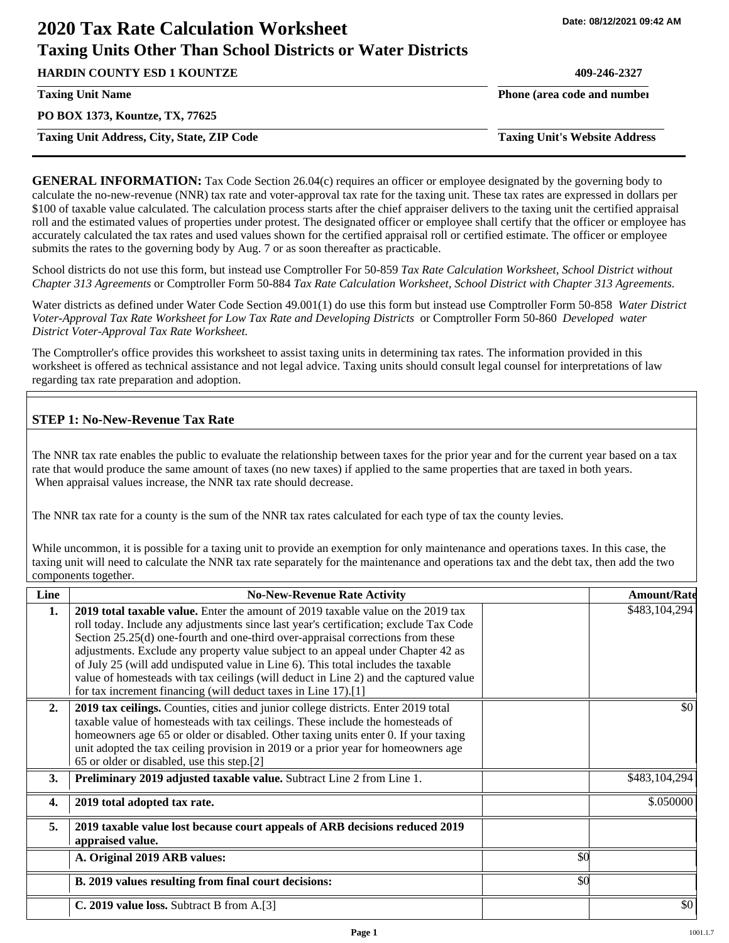# **2020 Tax Rate Calculation Worksheet Taxing Units Other Than School Districts or Water Districts**

**HARDIN COUNTY ESD 1 KOUNTZE 409-246-2327**

**PO BOX 1373, Kountze, TX, 77625**

**Taxing Unit Address, City, State, ZIP Code Taxing Unit's Website Address**

**Taxing Unit Name Phone (area code and number Phone (area code and number** 

**GENERAL INFORMATION:** Tax Code Section 26.04(c) requires an officer or employee designated by the governing body to calculate the no-new-revenue (NNR) tax rate and voter-approval tax rate for the taxing unit. These tax rates are expressed in dollars per \$100 of taxable value calculated. The calculation process starts after the chief appraiser delivers to the taxing unit the certified appraisal roll and the estimated values of properties under protest. The designated officer or employee shall certify that the officer or employee has accurately calculated the tax rates and used values shown for the certified appraisal roll or certified estimate. The officer or employee submits the rates to the governing body by Aug. 7 or as soon thereafter as practicable.

School districts do not use this form, but instead use Comptroller For 50-859 *Tax Rate Calculation Worksheet, School District without Chapter 313 Agreements* or Comptroller Form 50-884 *Tax Rate Calculation Worksheet, School District with Chapter 313 Agreements.*

Water districts as defined under Water Code Section 49.001(1) do use this form but instead use Comptroller Form 50-858 *Water District Voter-Approval Tax Rate Worksheet for Low Tax Rate and Developing Districts* or Comptroller Form 50-860 *Developed water District Voter-Approval Tax Rate Worksheet.*

The Comptroller's office provides this worksheet to assist taxing units in determining tax rates. The information provided in this worksheet is offered as technical assistance and not legal advice. Taxing units should consult legal counsel for interpretations of law regarding tax rate preparation and adoption.

## **STEP 1: No-New-Revenue Tax Rate**

The NNR tax rate enables the public to evaluate the relationship between taxes for the prior year and for the current year based on a tax rate that would produce the same amount of taxes (no new taxes) if applied to the same properties that are taxed in both years. When appraisal values increase, the NNR tax rate should decrease.

The NNR tax rate for a county is the sum of the NNR tax rates calculated for each type of tax the county levies.

While uncommon, it is possible for a taxing unit to provide an exemption for only maintenance and operations taxes. In this case, the taxing unit will need to calculate the NNR tax rate separately for the maintenance and operations tax and the debt tax, then add the two components together.

| Line             | <b>No-New-Revenue Rate Activity</b>                                                                                                                                                                                                                                                                                                                                                                                                                                                                                                                                                             |     | <b>Amount/Rate</b> |
|------------------|-------------------------------------------------------------------------------------------------------------------------------------------------------------------------------------------------------------------------------------------------------------------------------------------------------------------------------------------------------------------------------------------------------------------------------------------------------------------------------------------------------------------------------------------------------------------------------------------------|-----|--------------------|
| 1.               | 2019 total taxable value. Enter the amount of 2019 taxable value on the 2019 tax<br>roll today. Include any adjustments since last year's certification; exclude Tax Code<br>Section 25.25(d) one-fourth and one-third over-appraisal corrections from these<br>adjustments. Exclude any property value subject to an appeal under Chapter 42 as<br>of July 25 (will add undisputed value in Line 6). This total includes the taxable<br>value of homesteads with tax ceilings (will deduct in Line 2) and the captured value<br>for tax increment financing (will deduct taxes in Line 17).[1] |     | \$483,104,294      |
| 2.               | 2019 tax ceilings. Counties, cities and junior college districts. Enter 2019 total<br>taxable value of homesteads with tax ceilings. These include the homesteads of<br>homeowners age 65 or older or disabled. Other taxing units enter 0. If your taxing<br>unit adopted the tax ceiling provision in 2019 or a prior year for homeowners age<br>65 or older or disabled, use this step.[2]                                                                                                                                                                                                   |     | \$0                |
| 3.               | Preliminary 2019 adjusted taxable value. Subtract Line 2 from Line 1.                                                                                                                                                                                                                                                                                                                                                                                                                                                                                                                           |     | \$483,104,294      |
| $\overline{4}$ . | 2019 total adopted tax rate.                                                                                                                                                                                                                                                                                                                                                                                                                                                                                                                                                                    |     | \$.050000          |
| 5.               | 2019 taxable value lost because court appeals of ARB decisions reduced 2019<br>appraised value.                                                                                                                                                                                                                                                                                                                                                                                                                                                                                                 |     |                    |
|                  | A. Original 2019 ARB values:                                                                                                                                                                                                                                                                                                                                                                                                                                                                                                                                                                    | \$0 |                    |
|                  | B. 2019 values resulting from final court decisions:                                                                                                                                                                                                                                                                                                                                                                                                                                                                                                                                            | \$0 |                    |
|                  | C. 2019 value loss. Subtract B from A.[3]                                                                                                                                                                                                                                                                                                                                                                                                                                                                                                                                                       |     | \$0                |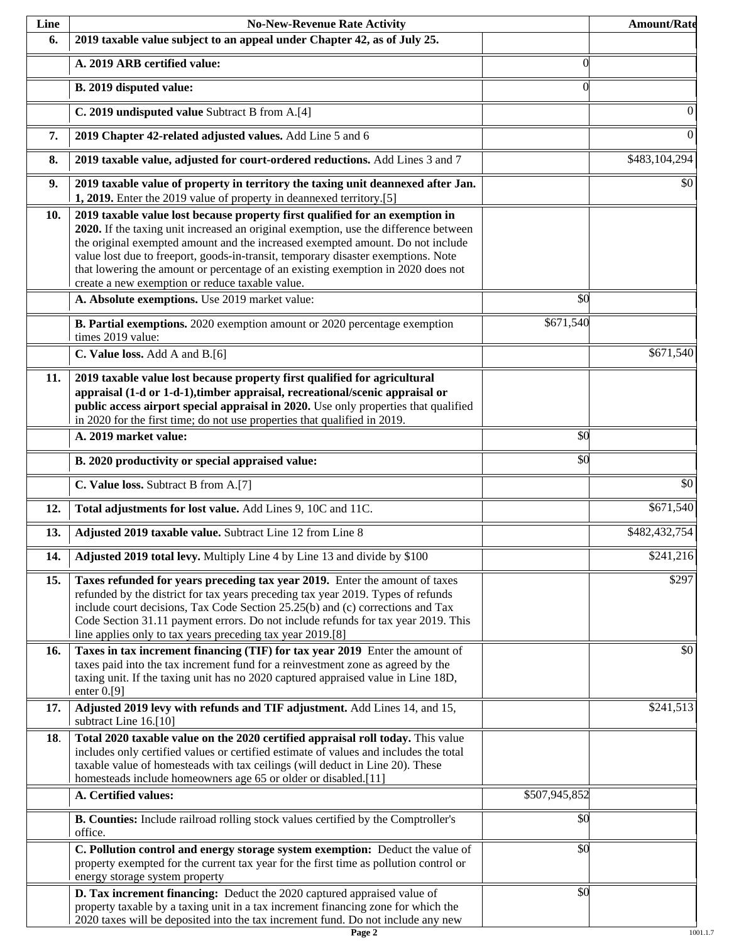| Line | <b>No-New-Revenue Rate Activity</b>                                                                                                                                                                                                                                                                                                                                                                                                                                                |                 | <b>Amount/Rate</b> |
|------|------------------------------------------------------------------------------------------------------------------------------------------------------------------------------------------------------------------------------------------------------------------------------------------------------------------------------------------------------------------------------------------------------------------------------------------------------------------------------------|-----------------|--------------------|
| 6.   | 2019 taxable value subject to an appeal under Chapter 42, as of July 25.                                                                                                                                                                                                                                                                                                                                                                                                           |                 |                    |
|      | A. 2019 ARB certified value:                                                                                                                                                                                                                                                                                                                                                                                                                                                       | $\theta$        |                    |
|      | B. 2019 disputed value:                                                                                                                                                                                                                                                                                                                                                                                                                                                            | $\Omega$        |                    |
|      | C. 2019 undisputed value Subtract B from A.[4]                                                                                                                                                                                                                                                                                                                                                                                                                                     |                 | $\theta$           |
| 7.   | 2019 Chapter 42-related adjusted values. Add Line 5 and 6                                                                                                                                                                                                                                                                                                                                                                                                                          |                 | $\overline{0}$     |
| 8.   | 2019 taxable value, adjusted for court-ordered reductions. Add Lines 3 and 7                                                                                                                                                                                                                                                                                                                                                                                                       |                 | \$483,104,294      |
| 9.   | 2019 taxable value of property in territory the taxing unit deannexed after Jan.<br>1, 2019. Enter the 2019 value of property in deannexed territory.[5]                                                                                                                                                                                                                                                                                                                           |                 | \$0                |
| 10.  | 2019 taxable value lost because property first qualified for an exemption in<br>2020. If the taxing unit increased an original exemption, use the difference between<br>the original exempted amount and the increased exempted amount. Do not include<br>value lost due to freeport, goods-in-transit, temporary disaster exemptions. Note<br>that lowering the amount or percentage of an existing exemption in 2020 does not<br>create a new exemption or reduce taxable value. |                 |                    |
|      | A. Absolute exemptions. Use 2019 market value:                                                                                                                                                                                                                                                                                                                                                                                                                                     | $\overline{50}$ |                    |
|      | B. Partial exemptions. 2020 exemption amount or 2020 percentage exemption<br>times 2019 value:                                                                                                                                                                                                                                                                                                                                                                                     | \$671,540       |                    |
|      | C. Value loss. Add A and B.[6]                                                                                                                                                                                                                                                                                                                                                                                                                                                     |                 | \$671,540          |
| 11.  | 2019 taxable value lost because property first qualified for agricultural<br>appraisal (1-d or 1-d-1), timber appraisal, recreational/scenic appraisal or<br>public access airport special appraisal in 2020. Use only properties that qualified<br>in 2020 for the first time; do not use properties that qualified in 2019.                                                                                                                                                      |                 |                    |
|      | A. 2019 market value:                                                                                                                                                                                                                                                                                                                                                                                                                                                              | \$0             |                    |
|      | B. 2020 productivity or special appraised value:                                                                                                                                                                                                                                                                                                                                                                                                                                   | \$0             |                    |
|      | C. Value loss. Subtract B from A.[7]                                                                                                                                                                                                                                                                                                                                                                                                                                               |                 | $\overline{50}$    |
| 12.  | Total adjustments for lost value. Add Lines 9, 10C and 11C.                                                                                                                                                                                                                                                                                                                                                                                                                        |                 | \$671,540          |
| 13.  | Adjusted 2019 taxable value. Subtract Line 12 from Line 8                                                                                                                                                                                                                                                                                                                                                                                                                          |                 | \$482,432,754      |
| 14.  | Adjusted 2019 total levy. Multiply Line 4 by Line 13 and divide by \$100                                                                                                                                                                                                                                                                                                                                                                                                           |                 | \$241,216          |
| 15.  | Taxes refunded for years preceding tax year 2019. Enter the amount of taxes<br>refunded by the district for tax years preceding tax year 2019. Types of refunds<br>include court decisions, Tax Code Section 25.25(b) and (c) corrections and Tax<br>Code Section 31.11 payment errors. Do not include refunds for tax year 2019. This<br>line applies only to tax years preceding tax year 2019.[8]                                                                               |                 | \$297              |
| 16.  | Taxes in tax increment financing (TIF) for tax year 2019 Enter the amount of<br>taxes paid into the tax increment fund for a reinvestment zone as agreed by the<br>taxing unit. If the taxing unit has no 2020 captured appraised value in Line 18D,<br>enter $0.9$ ]                                                                                                                                                                                                              |                 | \$0                |
| 17.  | Adjusted 2019 levy with refunds and TIF adjustment. Add Lines 14, and 15,<br>subtract Line 16.[10]                                                                                                                                                                                                                                                                                                                                                                                 |                 | \$241,513          |
| 18.  | Total 2020 taxable value on the 2020 certified appraisal roll today. This value<br>includes only certified values or certified estimate of values and includes the total<br>taxable value of homesteads with tax ceilings (will deduct in Line 20). These<br>homesteads include homeowners age 65 or older or disabled.[11]                                                                                                                                                        |                 |                    |
|      | A. Certified values:                                                                                                                                                                                                                                                                                                                                                                                                                                                               | \$507,945,852   |                    |
|      | B. Counties: Include railroad rolling stock values certified by the Comptroller's<br>office.                                                                                                                                                                                                                                                                                                                                                                                       | \$0             |                    |
|      | C. Pollution control and energy storage system exemption: Deduct the value of<br>property exempted for the current tax year for the first time as pollution control or<br>energy storage system property                                                                                                                                                                                                                                                                           | \$0             |                    |
|      | D. Tax increment financing: Deduct the 2020 captured appraised value of<br>property taxable by a taxing unit in a tax increment financing zone for which the<br>2020 taxes will be deposited into the tax increment fund. Do not include any new                                                                                                                                                                                                                                   | \$0             |                    |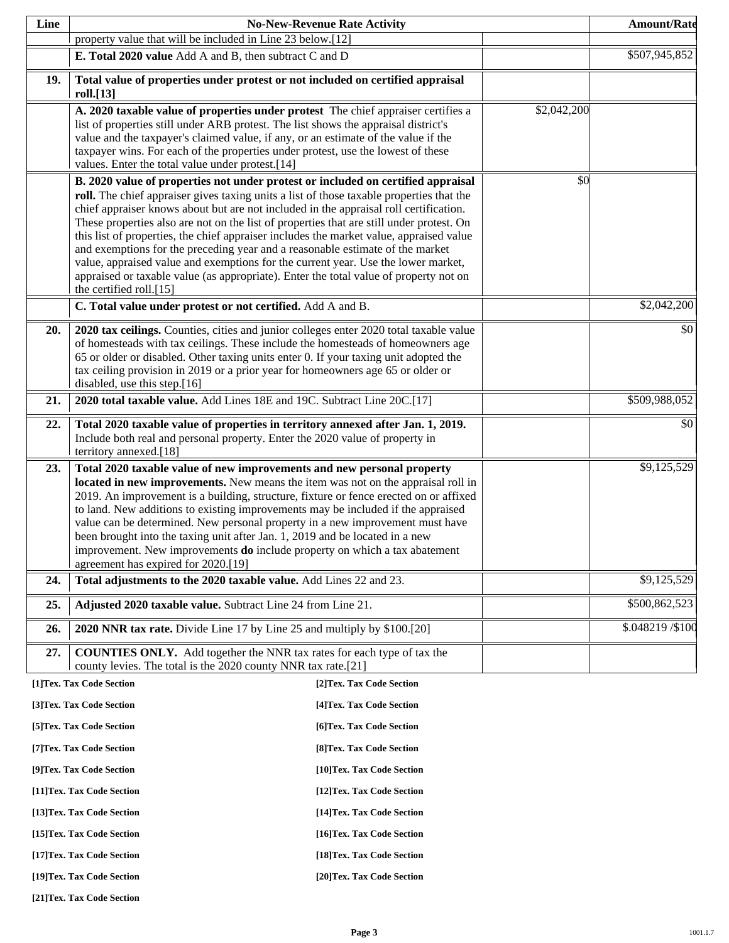| Line |                                                                                                                                                                                                                                                                                                                                                                                                                                                                                                                                                                                                                                                                                                                                                                                                                       | <b>No-New-Revenue Rate Activity</b> |             | <b>Amount/Rate</b> |
|------|-----------------------------------------------------------------------------------------------------------------------------------------------------------------------------------------------------------------------------------------------------------------------------------------------------------------------------------------------------------------------------------------------------------------------------------------------------------------------------------------------------------------------------------------------------------------------------------------------------------------------------------------------------------------------------------------------------------------------------------------------------------------------------------------------------------------------|-------------------------------------|-------------|--------------------|
|      | property value that will be included in Line 23 below.[12]                                                                                                                                                                                                                                                                                                                                                                                                                                                                                                                                                                                                                                                                                                                                                            |                                     |             |                    |
|      | E. Total 2020 value Add A and B, then subtract C and D                                                                                                                                                                                                                                                                                                                                                                                                                                                                                                                                                                                                                                                                                                                                                                |                                     |             | \$507,945,852      |
| 19.  | Total value of properties under protest or not included on certified appraisal<br>roll.[13]                                                                                                                                                                                                                                                                                                                                                                                                                                                                                                                                                                                                                                                                                                                           |                                     |             |                    |
|      | A. 2020 taxable value of properties under protest The chief appraiser certifies a<br>list of properties still under ARB protest. The list shows the appraisal district's<br>value and the taxpayer's claimed value, if any, or an estimate of the value if the<br>taxpayer wins. For each of the properties under protest, use the lowest of these<br>values. Enter the total value under protest.[14]                                                                                                                                                                                                                                                                                                                                                                                                                |                                     | \$2,042,200 |                    |
|      | B. 2020 value of properties not under protest or included on certified appraisal<br>roll. The chief appraiser gives taxing units a list of those taxable properties that the<br>chief appraiser knows about but are not included in the appraisal roll certification.<br>These properties also are not on the list of properties that are still under protest. On<br>this list of properties, the chief appraiser includes the market value, appraised value<br>and exemptions for the preceding year and a reasonable estimate of the market<br>value, appraised value and exemptions for the current year. Use the lower market,<br>appraised or taxable value (as appropriate). Enter the total value of property not on<br>the certified roll.[15]<br>C. Total value under protest or not certified. Add A and B. |                                     | \$0         | \$2,042,200        |
| 20.  | 2020 tax ceilings. Counties, cities and junior colleges enter 2020 total taxable value<br>of homesteads with tax ceilings. These include the homesteads of homeowners age<br>65 or older or disabled. Other taxing units enter 0. If your taxing unit adopted the<br>tax ceiling provision in 2019 or a prior year for homeowners age 65 or older or                                                                                                                                                                                                                                                                                                                                                                                                                                                                  |                                     |             | \$0                |
| 21.  | disabled, use this step.[16]<br>2020 total taxable value. Add Lines 18E and 19C. Subtract Line 20C.[17]                                                                                                                                                                                                                                                                                                                                                                                                                                                                                                                                                                                                                                                                                                               |                                     |             | \$509,988,052      |
| 22.  | Total 2020 taxable value of properties in territory annexed after Jan. 1, 2019.<br>Include both real and personal property. Enter the 2020 value of property in<br>territory annexed.[18]                                                                                                                                                                                                                                                                                                                                                                                                                                                                                                                                                                                                                             |                                     |             | \$0                |
| 23.  | Total 2020 taxable value of new improvements and new personal property<br>located in new improvements. New means the item was not on the appraisal roll in<br>2019. An improvement is a building, structure, fixture or fence erected on or affixed<br>to land. New additions to existing improvements may be included if the appraised<br>value can be determined. New personal property in a new improvement must have<br>been brought into the taxing unit after Jan. 1, 2019 and be located in a new<br>improvement. New improvements <b>do</b> include property on which a tax abatement<br>agreement has expired for 2020.[19]                                                                                                                                                                                  |                                     |             | \$9,125,529        |
| 24.  | Total adjustments to the 2020 taxable value. Add Lines 22 and 23.                                                                                                                                                                                                                                                                                                                                                                                                                                                                                                                                                                                                                                                                                                                                                     |                                     |             | \$9,125,529        |
| 25.  | Adjusted 2020 taxable value. Subtract Line 24 from Line 21.                                                                                                                                                                                                                                                                                                                                                                                                                                                                                                                                                                                                                                                                                                                                                           |                                     |             | \$500,862,523      |
| 26.  | 2020 NNR tax rate. Divide Line 17 by Line 25 and multiply by \$100.[20]                                                                                                                                                                                                                                                                                                                                                                                                                                                                                                                                                                                                                                                                                                                                               |                                     |             | \$.048219 / \$100  |
| 27.  | <b>COUNTIES ONLY.</b> Add together the NNR tax rates for each type of tax the<br>county levies. The total is the 2020 county NNR tax rate.[21]                                                                                                                                                                                                                                                                                                                                                                                                                                                                                                                                                                                                                                                                        |                                     |             |                    |
|      | [1]Tex. Tax Code Section                                                                                                                                                                                                                                                                                                                                                                                                                                                                                                                                                                                                                                                                                                                                                                                              | [2]Tex. Tax Code Section            |             |                    |
|      | [3]Tex. Tax Code Section                                                                                                                                                                                                                                                                                                                                                                                                                                                                                                                                                                                                                                                                                                                                                                                              | [4] Tex. Tax Code Section           |             |                    |
|      | [5]Tex. Tax Code Section                                                                                                                                                                                                                                                                                                                                                                                                                                                                                                                                                                                                                                                                                                                                                                                              | [6] Tex. Tax Code Section           |             |                    |
|      | [7] Tex. Tax Code Section                                                                                                                                                                                                                                                                                                                                                                                                                                                                                                                                                                                                                                                                                                                                                                                             | [8] Tex. Tax Code Section           |             |                    |
|      | [9]Tex. Tax Code Section                                                                                                                                                                                                                                                                                                                                                                                                                                                                                                                                                                                                                                                                                                                                                                                              | [10]Tex. Tax Code Section           |             |                    |
|      | [11] Tex. Tax Code Section                                                                                                                                                                                                                                                                                                                                                                                                                                                                                                                                                                                                                                                                                                                                                                                            | [12] Tex. Tax Code Section          |             |                    |
|      | [13] Tex. Tax Code Section                                                                                                                                                                                                                                                                                                                                                                                                                                                                                                                                                                                                                                                                                                                                                                                            | [14] Tex. Tax Code Section          |             |                    |
|      | [15] Tex. Tax Code Section                                                                                                                                                                                                                                                                                                                                                                                                                                                                                                                                                                                                                                                                                                                                                                                            | [16] Tex. Tax Code Section          |             |                    |
|      | [17] Tex. Tax Code Section                                                                                                                                                                                                                                                                                                                                                                                                                                                                                                                                                                                                                                                                                                                                                                                            | [18] Tex. Tax Code Section          |             |                    |
|      | [19]Tex. Tax Code Section                                                                                                                                                                                                                                                                                                                                                                                                                                                                                                                                                                                                                                                                                                                                                                                             | [20]Tex. Tax Code Section           |             |                    |

**[21]Tex. Tax Code Section**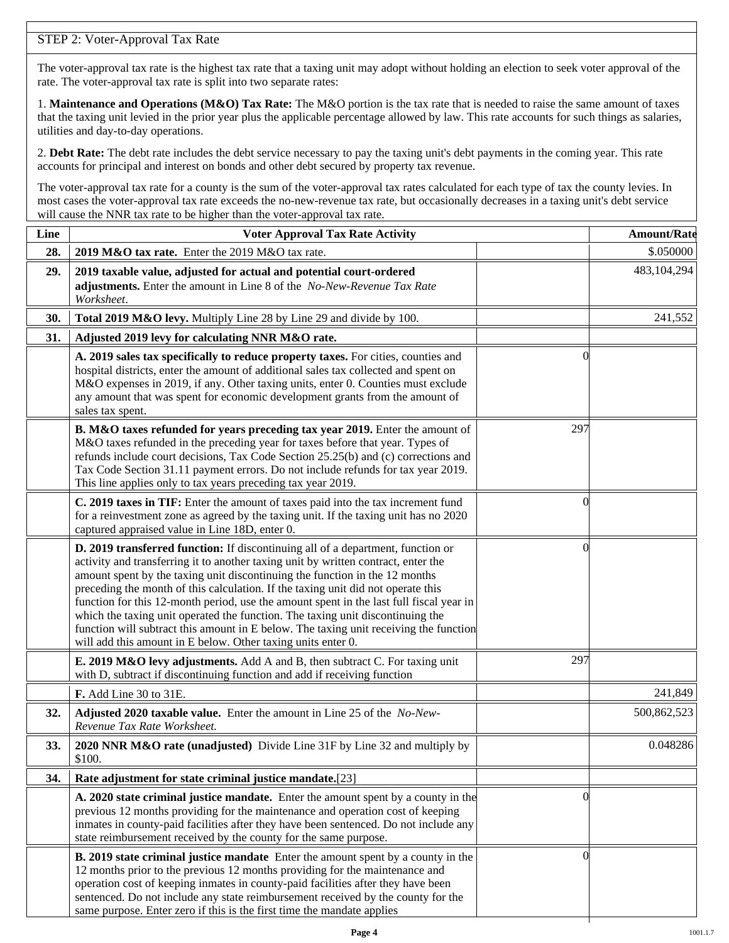## STEP 2: Voter-Approval Tax Rate

The voter-approval tax rate is the highest tax rate that a taxing unit may adopt without holding an election to seek voter approval of the rate. The voter-approval tax rate is split into two separate rates:

1. **Maintenance and Operations (M&O) Tax Rate:** The M&O portion is the tax rate that is needed to raise the same amount of taxes that the taxing unit levied in the prior year plus the applicable percentage allowed by law. This rate accounts for such things as salaries, utilities and day-to-day operations.

2. **Debt Rate:** The debt rate includes the debt service necessary to pay the taxing unit's debt payments in the coming year. This rate accounts for principal and interest on bonds and other debt secured by property tax revenue.

The voter-approval tax rate for a county is the sum of the voter-approval tax rates calculated for each type of tax the county levies. In most cases the voter-approval tax rate exceeds the no-new-revenue tax rate, but occasionally decreases in a taxing unit's debt service will cause the NNR tax rate to be higher than the voter-approval tax rate.

| Line | <b>Voter Approval Tax Rate Activity</b>                                                                                                                                                                                                                                                                                                                                                                                                                                                                                                                                                                                                                                        |          | <b>Amount/Rate</b> |
|------|--------------------------------------------------------------------------------------------------------------------------------------------------------------------------------------------------------------------------------------------------------------------------------------------------------------------------------------------------------------------------------------------------------------------------------------------------------------------------------------------------------------------------------------------------------------------------------------------------------------------------------------------------------------------------------|----------|--------------------|
| 28.  | 2019 M&O tax rate. Enter the 2019 M&O tax rate.                                                                                                                                                                                                                                                                                                                                                                                                                                                                                                                                                                                                                                |          | \$.050000          |
| 29.  | 2019 taxable value, adjusted for actual and potential court-ordered<br>adjustments. Enter the amount in Line 8 of the No-New-Revenue Tax Rate<br>Worksheet.                                                                                                                                                                                                                                                                                                                                                                                                                                                                                                                    |          | 483,104,294        |
| 30.  | Total 2019 M&O levy. Multiply Line 28 by Line 29 and divide by 100.                                                                                                                                                                                                                                                                                                                                                                                                                                                                                                                                                                                                            |          | 241,552            |
| 31.  | Adjusted 2019 levy for calculating NNR M&O rate.                                                                                                                                                                                                                                                                                                                                                                                                                                                                                                                                                                                                                               |          |                    |
|      | A. 2019 sales tax specifically to reduce property taxes. For cities, counties and<br>hospital districts, enter the amount of additional sales tax collected and spent on<br>M&O expenses in 2019, if any. Other taxing units, enter 0. Counties must exclude<br>any amount that was spent for economic development grants from the amount of<br>sales tax spent.                                                                                                                                                                                                                                                                                                               | $\left($ |                    |
|      | B. M&O taxes refunded for years preceding tax year 2019. Enter the amount of<br>M&O taxes refunded in the preceding year for taxes before that year. Types of<br>refunds include court decisions, Tax Code Section 25.25(b) and (c) corrections and<br>Tax Code Section 31.11 payment errors. Do not include refunds for tax year 2019.<br>This line applies only to tax years preceding tax year 2019.                                                                                                                                                                                                                                                                        | 297      |                    |
|      | C. 2019 taxes in TIF: Enter the amount of taxes paid into the tax increment fund<br>for a reinvestment zone as agreed by the taxing unit. If the taxing unit has no 2020<br>captured appraised value in Line 18D, enter 0.                                                                                                                                                                                                                                                                                                                                                                                                                                                     | $\theta$ |                    |
|      | D. 2019 transferred function: If discontinuing all of a department, function or<br>activity and transferring it to another taxing unit by written contract, enter the<br>amount spent by the taxing unit discontinuing the function in the 12 months<br>preceding the month of this calculation. If the taxing unit did not operate this<br>function for this 12-month period, use the amount spent in the last full fiscal year in<br>which the taxing unit operated the function. The taxing unit discontinuing the<br>function will subtract this amount in E below. The taxing unit receiving the function<br>will add this amount in E below. Other taxing units enter 0. | $\left($ |                    |
|      | E. 2019 M&O levy adjustments. Add A and B, then subtract C. For taxing unit<br>with D, subtract if discontinuing function and add if receiving function                                                                                                                                                                                                                                                                                                                                                                                                                                                                                                                        | 297      |                    |
|      | F. Add Line 30 to 31E.                                                                                                                                                                                                                                                                                                                                                                                                                                                                                                                                                                                                                                                         |          | 241,849            |
| 32.  | Adjusted 2020 taxable value. Enter the amount in Line 25 of the No-New-<br>Revenue Tax Rate Worksheet.                                                                                                                                                                                                                                                                                                                                                                                                                                                                                                                                                                         |          | 500,862,523        |
| 33.  | 2020 NNR M&O rate (unadjusted) Divide Line 31F by Line 32 and multiply by<br>\$100.                                                                                                                                                                                                                                                                                                                                                                                                                                                                                                                                                                                            |          | 0.048286           |
| 34.  | Rate adjustment for state criminal justice mandate.[23]                                                                                                                                                                                                                                                                                                                                                                                                                                                                                                                                                                                                                        |          |                    |
|      | A. 2020 state criminal justice mandate. Enter the amount spent by a county in the<br>previous 12 months providing for the maintenance and operation cost of keeping<br>inmates in county-paid facilities after they have been sentenced. Do not include any<br>state reimbursement received by the county for the same purpose.                                                                                                                                                                                                                                                                                                                                                | $\theta$ |                    |
|      | B. 2019 state criminal justice mandate Enter the amount spent by a county in the<br>12 months prior to the previous 12 months providing for the maintenance and<br>operation cost of keeping inmates in county-paid facilities after they have been<br>sentenced. Do not include any state reimbursement received by the county for the<br>same purpose. Enter zero if this is the first time the mandate applies                                                                                                                                                                                                                                                              | $\Omega$ |                    |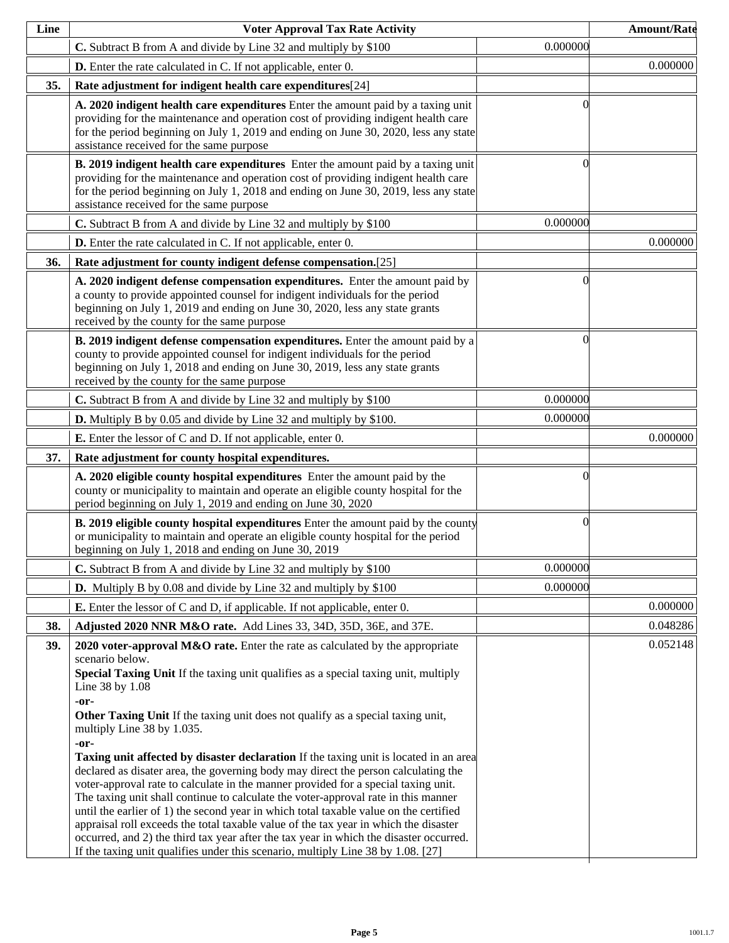| Line | <b>Voter Approval Tax Rate Activity</b>                                                                                                                                                                                                                                                                                                                                                                                                                                                                                                                                                                                                                                                                                                                                                                                                                                                                                                                                                                                                                                      |          | <b>Amount/Rate</b> |
|------|------------------------------------------------------------------------------------------------------------------------------------------------------------------------------------------------------------------------------------------------------------------------------------------------------------------------------------------------------------------------------------------------------------------------------------------------------------------------------------------------------------------------------------------------------------------------------------------------------------------------------------------------------------------------------------------------------------------------------------------------------------------------------------------------------------------------------------------------------------------------------------------------------------------------------------------------------------------------------------------------------------------------------------------------------------------------------|----------|--------------------|
|      | C. Subtract B from A and divide by Line 32 and multiply by \$100                                                                                                                                                                                                                                                                                                                                                                                                                                                                                                                                                                                                                                                                                                                                                                                                                                                                                                                                                                                                             | 0.000000 |                    |
|      | <b>D.</b> Enter the rate calculated in C. If not applicable, enter 0.                                                                                                                                                                                                                                                                                                                                                                                                                                                                                                                                                                                                                                                                                                                                                                                                                                                                                                                                                                                                        |          | 0.000000           |
| 35.  | Rate adjustment for indigent health care expenditures[24]                                                                                                                                                                                                                                                                                                                                                                                                                                                                                                                                                                                                                                                                                                                                                                                                                                                                                                                                                                                                                    |          |                    |
|      | A. 2020 indigent health care expenditures Enter the amount paid by a taxing unit<br>providing for the maintenance and operation cost of providing indigent health care<br>for the period beginning on July 1, 2019 and ending on June 30, 2020, less any state<br>assistance received for the same purpose                                                                                                                                                                                                                                                                                                                                                                                                                                                                                                                                                                                                                                                                                                                                                                   | ſ        |                    |
|      | B. 2019 indigent health care expenditures Enter the amount paid by a taxing unit<br>providing for the maintenance and operation cost of providing indigent health care<br>for the period beginning on July 1, 2018 and ending on June 30, 2019, less any state<br>assistance received for the same purpose                                                                                                                                                                                                                                                                                                                                                                                                                                                                                                                                                                                                                                                                                                                                                                   | 0        |                    |
|      | C. Subtract B from A and divide by Line 32 and multiply by \$100                                                                                                                                                                                                                                                                                                                                                                                                                                                                                                                                                                                                                                                                                                                                                                                                                                                                                                                                                                                                             | 0.000000 |                    |
|      | <b>D.</b> Enter the rate calculated in C. If not applicable, enter 0.                                                                                                                                                                                                                                                                                                                                                                                                                                                                                                                                                                                                                                                                                                                                                                                                                                                                                                                                                                                                        |          | 0.000000           |
| 36.  | Rate adjustment for county indigent defense compensation.[25]                                                                                                                                                                                                                                                                                                                                                                                                                                                                                                                                                                                                                                                                                                                                                                                                                                                                                                                                                                                                                |          |                    |
|      | A. 2020 indigent defense compensation expenditures. Enter the amount paid by<br>a county to provide appointed counsel for indigent individuals for the period<br>beginning on July 1, 2019 and ending on June 30, 2020, less any state grants<br>received by the county for the same purpose                                                                                                                                                                                                                                                                                                                                                                                                                                                                                                                                                                                                                                                                                                                                                                                 | 0        |                    |
|      | B. 2019 indigent defense compensation expenditures. Enter the amount paid by a<br>county to provide appointed counsel for indigent individuals for the period<br>beginning on July 1, 2018 and ending on June 30, 2019, less any state grants<br>received by the county for the same purpose                                                                                                                                                                                                                                                                                                                                                                                                                                                                                                                                                                                                                                                                                                                                                                                 | 0        |                    |
|      | C. Subtract B from A and divide by Line 32 and multiply by \$100                                                                                                                                                                                                                                                                                                                                                                                                                                                                                                                                                                                                                                                                                                                                                                                                                                                                                                                                                                                                             | 0.000000 |                    |
|      | <b>D.</b> Multiply B by 0.05 and divide by Line 32 and multiply by \$100.                                                                                                                                                                                                                                                                                                                                                                                                                                                                                                                                                                                                                                                                                                                                                                                                                                                                                                                                                                                                    | 0.000000 |                    |
|      | <b>E.</b> Enter the lessor of C and D. If not applicable, enter 0.                                                                                                                                                                                                                                                                                                                                                                                                                                                                                                                                                                                                                                                                                                                                                                                                                                                                                                                                                                                                           |          | 0.000000           |
| 37.  | Rate adjustment for county hospital expenditures.                                                                                                                                                                                                                                                                                                                                                                                                                                                                                                                                                                                                                                                                                                                                                                                                                                                                                                                                                                                                                            |          |                    |
|      | A. 2020 eligible county hospital expenditures Enter the amount paid by the<br>county or municipality to maintain and operate an eligible county hospital for the<br>period beginning on July 1, 2019 and ending on June 30, 2020                                                                                                                                                                                                                                                                                                                                                                                                                                                                                                                                                                                                                                                                                                                                                                                                                                             | 0        |                    |
|      | <b>B. 2019 eligible county hospital expenditures</b> Enter the amount paid by the county<br>or municipality to maintain and operate an eligible county hospital for the period<br>beginning on July 1, 2018 and ending on June 30, 2019                                                                                                                                                                                                                                                                                                                                                                                                                                                                                                                                                                                                                                                                                                                                                                                                                                      | $\Omega$ |                    |
|      | C. Subtract B from A and divide by Line 32 and multiply by \$100                                                                                                                                                                                                                                                                                                                                                                                                                                                                                                                                                                                                                                                                                                                                                                                                                                                                                                                                                                                                             | 0.000000 |                    |
|      | <b>D.</b> Multiply B by 0.08 and divide by Line 32 and multiply by \$100                                                                                                                                                                                                                                                                                                                                                                                                                                                                                                                                                                                                                                                                                                                                                                                                                                                                                                                                                                                                     | 0.000000 |                    |
|      | <b>E.</b> Enter the lessor of C and D, if applicable. If not applicable, enter 0.                                                                                                                                                                                                                                                                                                                                                                                                                                                                                                                                                                                                                                                                                                                                                                                                                                                                                                                                                                                            |          | 0.000000           |
| 38.  | Adjusted 2020 NNR M&O rate. Add Lines 33, 34D, 35D, 36E, and 37E.                                                                                                                                                                                                                                                                                                                                                                                                                                                                                                                                                                                                                                                                                                                                                                                                                                                                                                                                                                                                            |          | 0.048286           |
| 39.  | 2020 voter-approval M&O rate. Enter the rate as calculated by the appropriate<br>scenario below.<br>Special Taxing Unit If the taxing unit qualifies as a special taxing unit, multiply<br>Line 38 by 1.08<br>-or-<br>Other Taxing Unit If the taxing unit does not qualify as a special taxing unit,<br>multiply Line 38 by 1.035.<br>-or-<br><b>Taxing unit affected by disaster declaration</b> If the taxing unit is located in an area<br>declared as disater area, the governing body may direct the person calculating the<br>voter-approval rate to calculate in the manner provided for a special taxing unit.<br>The taxing unit shall continue to calculate the voter-approval rate in this manner<br>until the earlier of 1) the second year in which total taxable value on the certified<br>appraisal roll exceeds the total taxable value of the tax year in which the disaster<br>occurred, and 2) the third tax year after the tax year in which the disaster occurred.<br>If the taxing unit qualifies under this scenario, multiply Line 38 by 1.08. [27] |          | 0.052148           |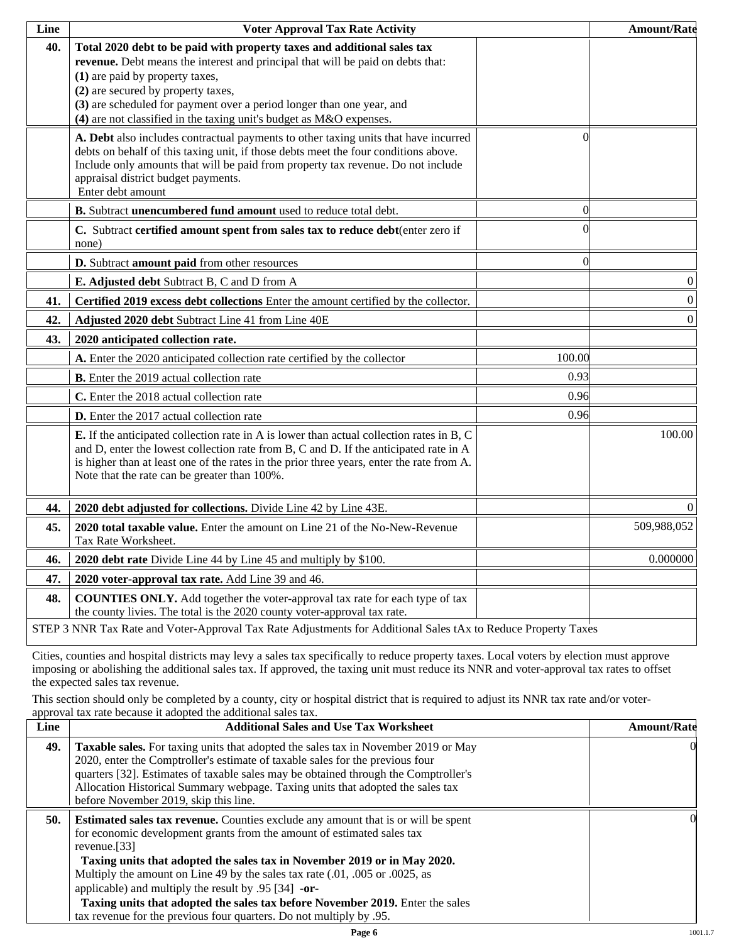| Line | <b>Voter Approval Tax Rate Activity</b>                                                                                                                                                                                                                                                                                                                                             |          | <b>Amount/Rate</b> |
|------|-------------------------------------------------------------------------------------------------------------------------------------------------------------------------------------------------------------------------------------------------------------------------------------------------------------------------------------------------------------------------------------|----------|--------------------|
| 40.  | Total 2020 debt to be paid with property taxes and additional sales tax<br>revenue. Debt means the interest and principal that will be paid on debts that:<br>(1) are paid by property taxes,<br>(2) are secured by property taxes,<br>(3) are scheduled for payment over a period longer than one year, and<br>(4) are not classified in the taxing unit's budget as M&O expenses. |          |                    |
|      | A. Debt also includes contractual payments to other taxing units that have incurred<br>debts on behalf of this taxing unit, if those debts meet the four conditions above.<br>Include only amounts that will be paid from property tax revenue. Do not include<br>appraisal district budget payments.<br>Enter debt amount                                                          | 0        |                    |
|      | B. Subtract unencumbered fund amount used to reduce total debt.                                                                                                                                                                                                                                                                                                                     | $\Omega$ |                    |
|      | C. Subtract certified amount spent from sales tax to reduce debt(enter zero if<br>none)                                                                                                                                                                                                                                                                                             |          |                    |
|      | D. Subtract amount paid from other resources                                                                                                                                                                                                                                                                                                                                        | $\Omega$ |                    |
|      | E. Adjusted debt Subtract B, C and D from A                                                                                                                                                                                                                                                                                                                                         |          | $\boldsymbol{0}$   |
| 41.  | Certified 2019 excess debt collections Enter the amount certified by the collector.                                                                                                                                                                                                                                                                                                 |          | $\boldsymbol{0}$   |
| 42.  | Adjusted 2020 debt Subtract Line 41 from Line 40E                                                                                                                                                                                                                                                                                                                                   |          | $\boldsymbol{0}$   |
| 43.  | 2020 anticipated collection rate.                                                                                                                                                                                                                                                                                                                                                   |          |                    |
|      | A. Enter the 2020 anticipated collection rate certified by the collector                                                                                                                                                                                                                                                                                                            | 100.00   |                    |
|      | <b>B.</b> Enter the 2019 actual collection rate                                                                                                                                                                                                                                                                                                                                     | 0.93     |                    |
|      | C. Enter the 2018 actual collection rate                                                                                                                                                                                                                                                                                                                                            | 0.96     |                    |
|      | D. Enter the 2017 actual collection rate                                                                                                                                                                                                                                                                                                                                            | 0.96     |                    |
|      | <b>E.</b> If the anticipated collection rate in A is lower than actual collection rates in B, C<br>and D, enter the lowest collection rate from B, C and D. If the anticipated rate in A<br>is higher than at least one of the rates in the prior three years, enter the rate from A.<br>Note that the rate can be greater than 100%.                                               |          | 100.00             |
| 44.  | 2020 debt adjusted for collections. Divide Line 42 by Line 43E.                                                                                                                                                                                                                                                                                                                     |          | $\Omega$           |
| 45.  | 2020 total taxable value. Enter the amount on Line 21 of the No-New-Revenue<br>Tax Rate Worksheet.                                                                                                                                                                                                                                                                                  |          | 509,988,052        |
| 46.  | 2020 debt rate Divide Line 44 by Line 45 and multiply by \$100.                                                                                                                                                                                                                                                                                                                     |          | 0.000000           |
| 47.  | 2020 voter-approval tax rate. Add Line 39 and 46.                                                                                                                                                                                                                                                                                                                                   |          |                    |
| 48.  | <b>COUNTIES ONLY.</b> Add together the voter-approval tax rate for each type of tax<br>the county livies. The total is the 2020 county voter-approval tax rate.                                                                                                                                                                                                                     |          |                    |
|      | STEP 3 NNR Tax Rate and Voter-Approval Tax Rate Adjustments for Additional Sales tAx to Reduce Property Taxes                                                                                                                                                                                                                                                                       |          |                    |

Cities, counties and hospital districts may levy a sales tax specifically to reduce property taxes. Local voters by election must approve imposing or abolishing the additional sales tax. If approved, the taxing unit must reduce its NNR and voter-approval tax rates to offset the expected sales tax revenue.

This section should only be completed by a county, city or hospital district that is required to adjust its NNR tax rate and/or voterapproval tax rate because it adopted the additional sales tax.

| <b>Additional Sales and Use Tax Worksheet</b>                                                                                                                                                                                                                                                                                                                                                                                                                                                | <b>Amount/Rate</b>                                                  |
|----------------------------------------------------------------------------------------------------------------------------------------------------------------------------------------------------------------------------------------------------------------------------------------------------------------------------------------------------------------------------------------------------------------------------------------------------------------------------------------------|---------------------------------------------------------------------|
| Taxable sales. For taxing units that adopted the sales tax in November 2019 or May<br>2020, enter the Comptroller's estimate of taxable sales for the previous four<br>quarters [32]. Estimates of taxable sales may be obtained through the Comptroller's<br>Allocation Historical Summary webpage. Taxing units that adopted the sales tax<br>before November 2019, skip this line.                                                                                                        | $\Omega$                                                            |
| <b>Estimated sales tax revenue.</b> Counties exclude any amount that is or will be spent<br>for economic development grants from the amount of estimated sales tax<br>revenue. $[33]$<br>Taxing units that adopted the sales tax in November 2019 or in May 2020.<br>Multiply the amount on Line 49 by the sales tax rate (.01, .005 or .0025, as<br>applicable) and multiply the result by $.95$ [34] -or-<br>Taxing units that adopted the sales tax before November 2019. Enter the sales | OI.                                                                 |
|                                                                                                                                                                                                                                                                                                                                                                                                                                                                                              | tax revenue for the previous four quarters. Do not multiply by .95. |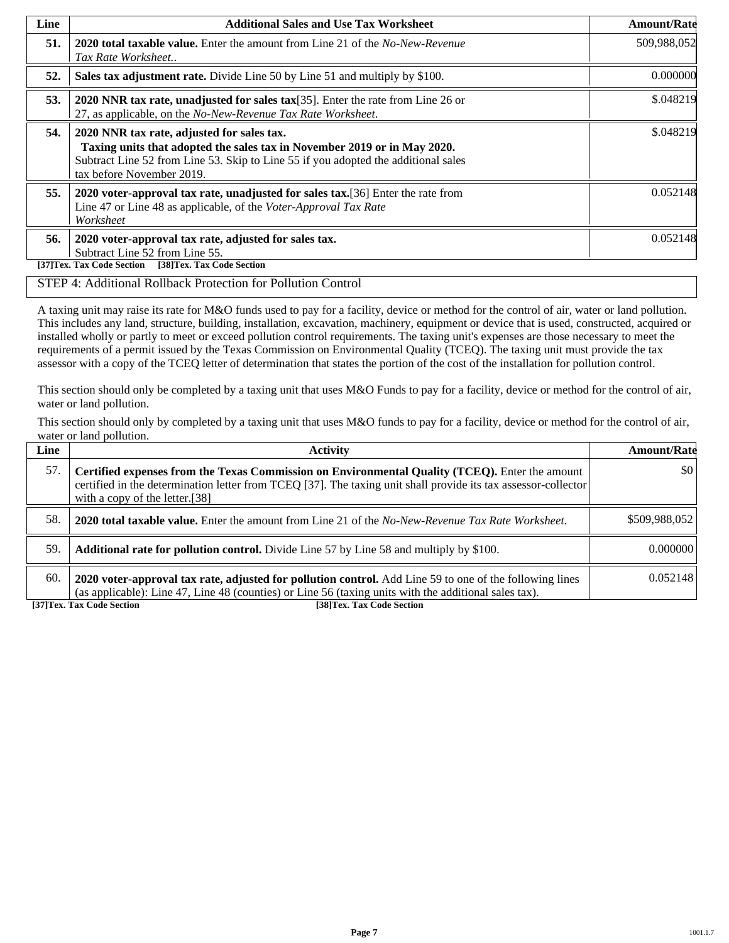| Line | <b>Additional Sales and Use Tax Worksheet</b>                                                                                                                                                                                             | <b>Amount/Rate</b> |
|------|-------------------------------------------------------------------------------------------------------------------------------------------------------------------------------------------------------------------------------------------|--------------------|
| 51.  | <b>2020 total taxable value.</b> Enter the amount from Line 21 of the <i>No-New-Revenue</i><br>Tax Rate Worksheet                                                                                                                         | 509,988,052        |
| 52.  | Sales tax adjustment rate. Divide Line 50 by Line 51 and multiply by \$100.                                                                                                                                                               | 0.000000           |
| 53.  | 2020 NNR tax rate, unadjusted for sales tax[35]. Enter the rate from Line 26 or<br>27, as applicable, on the No-New-Revenue Tax Rate Worksheet.                                                                                           | \$.048219          |
| 54.  | 2020 NNR tax rate, adjusted for sales tax.<br>Taxing units that adopted the sales tax in November 2019 or in May 2020.<br>Subtract Line 52 from Line 53. Skip to Line 55 if you adopted the additional sales<br>tax before November 2019. | \$.048219          |
| 55.  | 2020 voter-approval tax rate, unadjusted for sales tax. [36] Enter the rate from<br>Line 47 or Line 48 as applicable, of the Voter-Approval Tax Rate<br>Worksheet                                                                         | 0.052148           |
| 56.  | 2020 voter-approval tax rate, adjusted for sales tax.<br>Subtract Line 52 from Line 55.<br>[38]Tex. Tax Code Section<br>[37]Tex. Tax Code Section                                                                                         | 0.052148           |

#### STEP 4: Additional Rollback Protection for Pollution Control

A taxing unit may raise its rate for M&O funds used to pay for a facility, device or method for the control of air, water or land pollution. This includes any land, structure, building, installation, excavation, machinery, equipment or device that is used, constructed, acquired or installed wholly or partly to meet or exceed pollution control requirements. The taxing unit's expenses are those necessary to meet the requirements of a permit issued by the Texas Commission on Environmental Quality (TCEQ). The taxing unit must provide the tax assessor with a copy of the TCEQ letter of determination that states the portion of the cost of the installation for pollution control.

This section should only be completed by a taxing unit that uses M&O Funds to pay for a facility, device or method for the control of air, water or land pollution.

This section should only by completed by a taxing unit that uses M&O funds to pay for a facility, device or method for the control of air, water or land pollution.

| Line | <b>Activity</b>                                                                                                                                                                                                                                    | <b>Amount/Rate</b> |
|------|----------------------------------------------------------------------------------------------------------------------------------------------------------------------------------------------------------------------------------------------------|--------------------|
| 57.  | Certified expenses from the Texas Commission on Environmental Quality (TCEQ). Enter the amount<br>certified in the determination letter from TCEQ [37]. The taxing unit shall provide its tax assessor-collector<br>with a copy of the letter.[38] | $\frac{1}{2}$      |
| 58.  | <b>2020 total taxable value.</b> Enter the amount from Line 21 of the No-New-Revenue Tax Rate Worksheet.                                                                                                                                           | \$509,988,052      |
| 59.  | <b>Additional rate for pollution control.</b> Divide Line 57 by Line 58 and multiply by \$100.                                                                                                                                                     | 0.000000           |
| 60.  | 2020 voter-approval tax rate, adjusted for pollution control. Add Line 59 to one of the following lines<br>(as applicable): Line 47, Line 48 (counties) or Line 56 (taxing units with the additional sales tax).                                   | 0.052148           |

**[37]Tex. Tax Code Section [38]Tex. Tax Code Section**